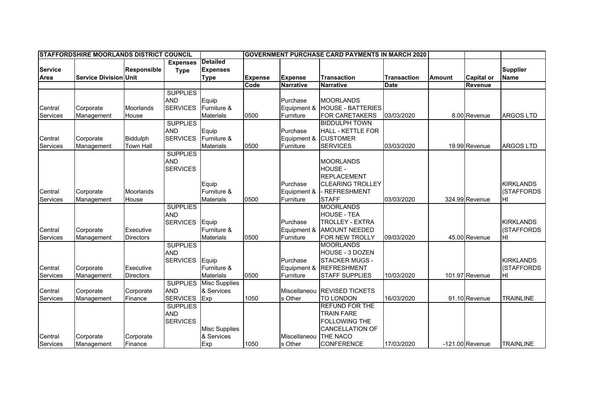| <b>STAFFORDSHIRE MOORLANDS DISTRICT COUNCIL</b> |                              |                    |                 |                      | <b>GOVERNMENT PURCHASE CARD PAYMENTS IN MARCH 2020</b> |                  |                          |                    |               |                   |                   |
|-------------------------------------------------|------------------------------|--------------------|-----------------|----------------------|--------------------------------------------------------|------------------|--------------------------|--------------------|---------------|-------------------|-------------------|
|                                                 |                              |                    | <b>Expenses</b> | <b>Detailed</b>      |                                                        |                  |                          |                    |               |                   |                   |
| <b>Service</b>                                  |                              | <b>Responsible</b> | <b>Type</b>     | <b>Expenses</b>      |                                                        |                  |                          |                    |               |                   | <b>Supplier</b>   |
| Area                                            | <b>Service Division Unit</b> |                    |                 | <b>Type</b>          | <b>Expense</b>                                         | <b>Expense</b>   | <b>Transaction</b>       | <b>Transaction</b> | <b>Amount</b> | <b>Capital or</b> | <b>Name</b>       |
|                                                 |                              |                    |                 |                      | Code                                                   | <b>Narrative</b> | <b>Narrative</b>         | <b>Date</b>        |               | Revenue           |                   |
|                                                 |                              |                    | <b>SUPPLIES</b> |                      |                                                        |                  |                          |                    |               |                   |                   |
|                                                 |                              |                    | <b>AND</b>      | Equip                |                                                        | Purchase         | <b>MOORLANDS</b>         |                    |               |                   |                   |
| Central                                         | Corporate                    | Moorlands          | <b>SERVICES</b> | Furniture &          |                                                        | Equipment &      | <b>HOUSE - BATTERIES</b> |                    |               |                   |                   |
| Services                                        | Management                   | House              |                 | <b>Materials</b>     | 0500                                                   | Furniture        | <b>FOR CARETAKERS</b>    | 03/03/2020         |               | 8.00 Revenue      | <b>ARGOS LTD</b>  |
|                                                 |                              |                    | <b>SUPPLIES</b> |                      |                                                        |                  | <b>BIDDULPH TOWN</b>     |                    |               |                   |                   |
|                                                 |                              |                    | <b>AND</b>      | Equip                |                                                        | Purchase         | <b>HALL - KETTLE FOR</b> |                    |               |                   |                   |
| Central                                         | Corporate                    | Biddulph           | <b>SERVICES</b> | Furniture &          |                                                        | Equipment &      | <b>CUSTOMER</b>          |                    |               |                   |                   |
| Services                                        | Management                   | <b>Town Hall</b>   |                 | <b>Materials</b>     | 0500                                                   | Furniture        | <b>SERVICES</b>          | 03/03/2020         |               | 19.99 Revenue     | <b>ARGOS LTD</b>  |
|                                                 |                              |                    | <b>SUPPLIES</b> |                      |                                                        |                  |                          |                    |               |                   |                   |
|                                                 |                              |                    | <b>AND</b>      |                      |                                                        |                  | <b>MOORLANDS</b>         |                    |               |                   |                   |
|                                                 |                              |                    | <b>SERVICES</b> |                      |                                                        |                  | HOUSE -                  |                    |               |                   |                   |
|                                                 |                              |                    |                 |                      |                                                        |                  | <b>REPLACEMENT</b>       |                    |               |                   |                   |
|                                                 |                              |                    |                 | Equip                |                                                        | Purchase         | <b>CLEARING TROLLEY</b>  |                    |               |                   | <b>KIRKLANDS</b>  |
| Central                                         | Corporate                    | Moorlands          |                 | Furniture &          |                                                        | Equipment &      | <b>REFRESHMENT</b>       |                    |               |                   | (STAFFORDS        |
| Services                                        | Management                   | House              |                 | <b>Materials</b>     | 0500                                                   | Furniture        | <b>STAFF</b>             | 03/03/2020         |               | 324.99 Revenue    | HI                |
|                                                 |                              |                    | <b>SUPPLIES</b> |                      |                                                        |                  | <b>MOORLANDS</b>         |                    |               |                   |                   |
|                                                 |                              |                    | <b>AND</b>      |                      |                                                        |                  | <b>HOUSE - TEA</b>       |                    |               |                   |                   |
|                                                 |                              |                    | <b>SERVICES</b> | Equip                |                                                        | Purchase         | <b>TROLLEY - EXTRA</b>   |                    |               |                   | <b>KIRKLANDS</b>  |
| Central                                         | Corporate                    | Executive          |                 | Furniture &          |                                                        | Equipment &      | <b>AMOUNT NEEDED</b>     |                    |               |                   | (STAFFORDS        |
| Services                                        | Management                   | <b>Directors</b>   |                 | <b>Materials</b>     | 0500                                                   | Furniture        | <b>FOR NEW TROLLY</b>    | 09/03/2020         |               | 45.00 Revenue     | HI                |
|                                                 |                              |                    | <b>SUPPLIES</b> |                      |                                                        |                  | <b>MOORLANDS</b>         |                    |               |                   |                   |
|                                                 |                              |                    | <b>AND</b>      |                      |                                                        |                  | <b>HOUSE - 3 DOZEN</b>   |                    |               |                   |                   |
|                                                 |                              |                    | <b>SERVICES</b> | Equip                |                                                        | Purchase         | <b>STACKER MUGS -</b>    |                    |               |                   | <b>KIRKLANDS</b>  |
| Central                                         | Corporate                    | Executive          |                 | Furniture &          |                                                        | Equipment &      | <b>REFRESHMENT</b>       |                    |               |                   | <b>(STAFFORDS</b> |
| Services                                        | Management                   | <b>Directors</b>   |                 | <b>Materials</b>     | 0500                                                   | Furniture        | <b>STAFF SUPPLIES</b>    | 10/03/2020         |               | 101.97 Revenue    | ΗI                |
|                                                 |                              |                    | <b>SUPPLIES</b> | Misc Supplies        |                                                        |                  |                          |                    |               |                   |                   |
| Central                                         | Corporate                    | Corporate          | <b>AND</b>      | & Services           |                                                        | Miscellaneou     | <b>IREVISED TICKETS</b>  |                    |               |                   |                   |
| Services                                        | Management                   | Finance            | <b>SERVICES</b> | Exp                  | 1050                                                   | s Other          | <b>TO LONDON</b>         | 16/03/2020         |               | 91.10 Revenue     | <b>TRAINLINE</b>  |
|                                                 |                              |                    | <b>SUPPLIES</b> |                      |                                                        |                  | <b>REFUND FOR THE</b>    |                    |               |                   |                   |
|                                                 |                              |                    | <b>AND</b>      |                      |                                                        |                  | <b>TRAIN FARE</b>        |                    |               |                   |                   |
|                                                 |                              |                    | <b>SERVICES</b> |                      |                                                        |                  | FOLLOWING THE            |                    |               |                   |                   |
|                                                 |                              |                    |                 | <b>Misc Supplies</b> |                                                        |                  | <b>CANCELLATION OF</b>   |                    |               |                   |                   |
| Central                                         | Corporate                    | Corporate          |                 | & Services           |                                                        | Miscellaneou     | THE NACO                 |                    |               |                   |                   |
| Services                                        | Management                   | Finance            |                 | Exp                  | 1050                                                   | s Other          | <b>CONFERENCE</b>        | 17/03/2020         |               | $-121.00$ Revenue | <b>TRAINLINE</b>  |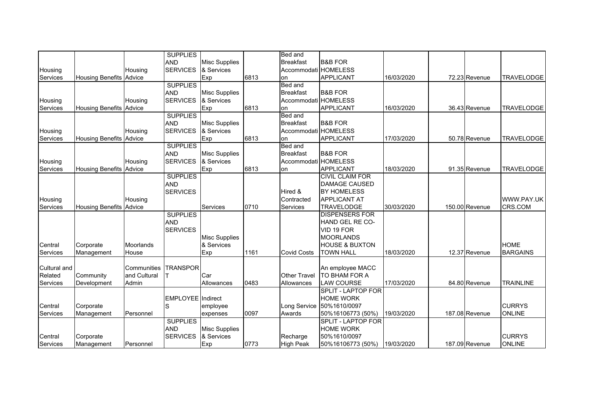|                 |                         |              | <b>SUPPLIES</b>          |                      |      | Bed and              |                              |            |                |                   |
|-----------------|-------------------------|--------------|--------------------------|----------------------|------|----------------------|------------------------------|------------|----------------|-------------------|
|                 |                         |              | <b>AND</b>               | <b>Misc Supplies</b> |      | <b>Breakfast</b>     | <b>B&amp;B FOR</b>           |            |                |                   |
| Housing         |                         | Housing      | <b>SERVICES</b>          | & Services           |      | Accommodati HOMELESS |                              |            |                |                   |
| <b>Services</b> | <b>Housing Benefits</b> | Advice       |                          | Exp                  | 6813 | on                   | <b>APPLICANT</b>             | 16/03/2020 | 72.23 Revenue  | <b>TRAVELODGE</b> |
|                 |                         |              | <b>SUPPLIES</b>          |                      |      | <b>Bed and</b>       |                              |            |                |                   |
|                 |                         |              | <b>AND</b>               | <b>Misc Supplies</b> |      | <b>Breakfast</b>     | <b>B&amp;B FOR</b>           |            |                |                   |
| Housing         |                         | Housing      | <b>SERVICES</b>          | & Services           |      | Accommodati HOMELESS |                              |            |                |                   |
| <b>Services</b> | <b>Housing Benefits</b> | Advice       |                          | Exp                  | 6813 | on                   | <b>APPLICANT</b>             | 16/03/2020 | 36.43 Revenue  | <b>TRAVELODGE</b> |
|                 |                         |              | <b>SUPPLIES</b>          |                      |      | Bed and              |                              |            |                |                   |
|                 |                         |              | <b>AND</b>               | <b>Misc Supplies</b> |      | <b>Breakfast</b>     | <b>B&amp;B FOR</b>           |            |                |                   |
| Housing         |                         | Housing      | <b>SERVICES</b>          | & Services           |      | Accommodati HOMELESS |                              |            |                |                   |
| <b>Services</b> | <b>Housing Benefits</b> | Advice       |                          | Exp                  | 6813 | on                   | <b>APPLICANT</b>             | 17/03/2020 | 50.78 Revenue  | <b>TRAVELODGE</b> |
|                 |                         |              | <b>SUPPLIES</b>          |                      |      | Bed and              |                              |            |                |                   |
|                 |                         |              | <b>AND</b>               | <b>Misc Supplies</b> |      | <b>Breakfast</b>     | <b>B&amp;B FOR</b>           |            |                |                   |
| Housing         |                         | Housing      | <b>SERVICES</b>          | & Services           |      | Accommodati HOMELESS |                              |            |                |                   |
| Services        | <b>Housing Benefits</b> | Advice       |                          | Exp                  | 6813 | on                   | <b>APPLICANT</b>             | 18/03/2020 | 91.35 Revenue  | <b>TRAVELODGE</b> |
|                 |                         |              | <b>SUPPLIES</b>          |                      |      |                      | <b>CIVIL CLAIM FOR</b>       |            |                |                   |
|                 |                         |              | <b>AND</b>               |                      |      |                      | <b>DAMAGE CAUSED</b>         |            |                |                   |
|                 |                         |              | <b>SERVICES</b>          |                      |      | Hired &              | <b>BY HOMELESS</b>           |            |                |                   |
| Housing         |                         | Housing      |                          |                      |      | Contracted           | <b>APPLICANT AT</b>          |            |                | WWW.PAY.UK        |
| <b>Services</b> | <b>Housing Benefits</b> | Advice       |                          | Services             | 0710 | Services             | <b>TRAVELODGE</b>            | 30/03/2020 | 150.00 Revenue | CRS.COM           |
|                 |                         |              | <b>SUPPLIES</b>          |                      |      |                      | <b>DISPENSERS FOR</b>        |            |                |                   |
|                 |                         |              | <b>AND</b>               |                      |      |                      | HAND GEL RE CO-              |            |                |                   |
|                 |                         |              | <b>SERVICES</b>          |                      |      |                      | VID 19 FOR                   |            |                |                   |
|                 |                         |              |                          | <b>Misc Supplies</b> |      |                      | <b>MOORLANDS</b>             |            |                |                   |
| Central         | Corporate               | Moorlands    |                          | & Services           |      |                      | <b>HOUSE &amp; BUXTON</b>    |            |                | <b>HOME</b>       |
| <b>Services</b> | Management              | House        |                          | Exp                  | 1161 | <b>Covid Costs</b>   | <b>TOWN HALL</b>             | 18/03/2020 | 12.37 Revenue  | <b>BARGAINS</b>   |
|                 |                         |              |                          |                      |      |                      |                              |            |                |                   |
| Cultural and    |                         | Communities  | <b>TRANSPOR</b>          |                      |      |                      | An employee MACC             |            |                |                   |
| Related         | Community               | and Cultural |                          | Car                  |      | Other Travel         | TO BHAM FOR A                |            |                |                   |
| <b>Services</b> | Development             | Admin        |                          | Allowances           | 0483 | Allowances           | <b>LAW COURSE</b>            | 17/03/2020 | 84.80 Revenue  | <b>TRAINLINE</b>  |
|                 |                         |              |                          |                      |      |                      | <b>SPLIT - LAPTOP FOR</b>    |            |                |                   |
|                 |                         |              | <b>EMPLOYEE</b> Indirect |                      |      |                      | <b>HOME WORK</b>             |            |                |                   |
| Central         | Corporate               |              | S                        | employee             |      | Long Service         | 50%1610/0097                 |            |                | <b>CURRYS</b>     |
| <b>Services</b> | Management              | Personnel    |                          | expenses             | 0097 | Awards               | 50%16106773 (50%)            | 19/03/2020 | 187.08 Revenue | <b>ONLINE</b>     |
|                 |                         |              | <b>SUPPLIES</b>          |                      |      |                      | SPLIT - LAPTOP FOR           |            |                |                   |
|                 |                         |              | <b>AND</b>               | <b>Misc Supplies</b> |      |                      | <b>HOME WORK</b>             |            |                |                   |
| Central         | Corporate               |              | <b>SERVICES</b>          | & Services           |      | Recharge             | 50%1610/0097                 |            |                | <b>CURRYS</b>     |
| Services        | Management              | Personnel    |                          | Exp                  | 0773 | <b>High Peak</b>     | 50%16106773 (50%) 19/03/2020 |            | 187.09 Revenue | <b>ONLINE</b>     |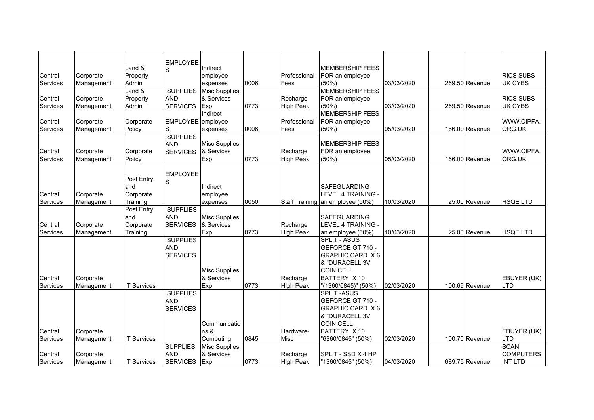|                 |            |                    | <b>EMPLOYEE</b>   |                      |      |                  |                                  |            |                |                  |
|-----------------|------------|--------------------|-------------------|----------------------|------|------------------|----------------------------------|------------|----------------|------------------|
|                 |            | Land &             | S                 | Indirect             |      |                  | <b>MEMBERSHIP FEES</b>           |            |                |                  |
| Central         | Corporate  | Property           |                   | employee             |      | Professional     | FOR an employee                  |            |                | <b>RICS SUBS</b> |
| Services        | Management | Admin              |                   | expenses             | 0006 | Fees             | (50%)                            | 03/03/2020 | 269.50 Revenue | <b>UK CYBS</b>   |
|                 |            | $L$ and $\&$       | <b>SUPPLIES</b>   | <b>Misc Supplies</b> |      |                  | <b>MEMBERSHIP FEES</b>           |            |                |                  |
| Central         | Corporate  | Property           | <b>AND</b>        | & Services           |      | Recharge         | FOR an employee                  |            |                | <b>RICS SUBS</b> |
| Services        | Management | Admin              | <b>SERVICES</b>   | Exp                  | 0773 | <b>High Peak</b> | (50%)                            | 03/03/2020 | 269.50 Revenue | <b>UK CYBS</b>   |
|                 |            |                    |                   | Indirect             |      |                  | <b>MEMBERSHIP FEES</b>           |            |                |                  |
| Central         | Corporate  | Corporate          | EMPLOYEE employee |                      |      | Professional     | FOR an employee                  |            |                | WWW.CIPFA.       |
| <b>Services</b> | Management | Policy             | S                 | expenses             | 0006 | Fees             | (50%)                            | 05/03/2020 | 166.00 Revenue | ORG.UK           |
|                 |            |                    | <b>SUPPLIES</b>   |                      |      |                  |                                  |            |                |                  |
|                 |            |                    | <b>AND</b>        | <b>Misc Supplies</b> |      |                  | <b>MEMBERSHIP FEES</b>           |            |                |                  |
| Central         | Corporate  | Corporate          | <b>SERVICES</b>   | & Services           |      | Recharge         | FOR an employee                  |            |                | WWW.CIPFA.       |
| Services        | Management | Policy             |                   | Exp                  | 0773 | <b>High Peak</b> | (50%)                            | 05/03/2020 | 166.00 Revenue | ORG.UK           |
|                 |            |                    | <b>EMPLOYEE</b>   |                      |      |                  |                                  |            |                |                  |
|                 |            | Post Entry         | S                 |                      |      |                  |                                  |            |                |                  |
|                 |            | and                |                   | Indirect             |      |                  | <b>SAFEGUARDING</b>              |            |                |                  |
| Central         | Corporate  | Corporate          |                   | employee             |      |                  | LEVEL 4 TRAINING -               |            |                |                  |
| Services        | Management | Training           |                   | expenses             | 0050 |                  | Staff Training an employee (50%) | 10/03/2020 | 25.00 Revenue  | <b>HSQE LTD</b>  |
|                 |            | Post Entry         | <b>SUPPLIES</b>   |                      |      |                  |                                  |            |                |                  |
|                 |            | and                | <b>AND</b>        | <b>Misc Supplies</b> |      |                  | <b>SAFEGUARDING</b>              |            |                |                  |
| Central         | Corporate  | Corporate          | <b>SERVICES</b>   | & Services           |      | Recharge         | LEVEL 4 TRAINING -               |            |                |                  |
| Services        | Management | Training           |                   | Exp                  | 0773 | <b>High Peak</b> | an employee (50%)                | 10/03/2020 | 25.00 Revenue  | <b>HSOE LTD</b>  |
|                 |            |                    | <b>SUPPLIES</b>   |                      |      |                  | <b>SPLIT - ASUS</b>              |            |                |                  |
|                 |            |                    | <b>AND</b>        |                      |      |                  | GEFORCE GT 710 -                 |            |                |                  |
|                 |            |                    | <b>SERVICES</b>   |                      |      |                  | GRAPHIC CARD X 6                 |            |                |                  |
|                 |            |                    |                   |                      |      |                  | & "DURACELL 3V                   |            |                |                  |
|                 |            |                    |                   | <b>Misc Supplies</b> |      |                  | <b>COIN CELL</b>                 |            |                |                  |
| Central         | Corporate  |                    |                   | & Services           |      | Recharge         | BATTERY X 10                     |            |                | EBUYER (UK)      |
| Services        | Management | <b>IT Services</b> |                   | Exp                  | 0773 | <b>High Peak</b> | "(1360/0845)" (50%)              | 02/03/2020 | 100.69 Revenue | <b>LTD</b>       |
|                 |            |                    | <b>SUPPLIES</b>   |                      |      |                  | <b>SPLIT-ASUS</b>                |            |                |                  |
|                 |            |                    | <b>AND</b>        |                      |      |                  | GEFORCE GT 710 -                 |            |                |                  |
|                 |            |                    | <b>SERVICES</b>   |                      |      |                  | GRAPHIC CARD X 6                 |            |                |                  |
|                 |            |                    |                   |                      |      |                  | & "DURACELL 3V                   |            |                |                  |
|                 |            |                    |                   | Communicatio         |      |                  | <b>COIN CELL</b>                 |            |                |                  |
| Central         | Corporate  |                    |                   | ns &                 |      | Hardware-        | BATTERY X 10                     |            |                | EBUYER (UK)      |
| Services        | Management | <b>IT Services</b> |                   | Computing            | 0845 | Misc             | "6360/0845" (50%)                | 02/03/2020 | 100.70 Revenue | LTD              |
|                 |            |                    | <b>SUPPLIES</b>   | <b>Misc Supplies</b> |      |                  |                                  |            |                | <b>SCAN</b>      |
| Central         | Corporate  |                    | <b>AND</b>        | & Services           |      | Recharge         | SPLIT - SSD X 4 HP               |            |                | <b>COMPUTERS</b> |
| Services        | Management | <b>IT Services</b> | <b>SERVICES</b>   | Exp                  | 0773 | <b>High Peak</b> | "1360/0845" (50%)                | 04/03/2020 | 689.75 Revenue | <b>INT LTD</b>   |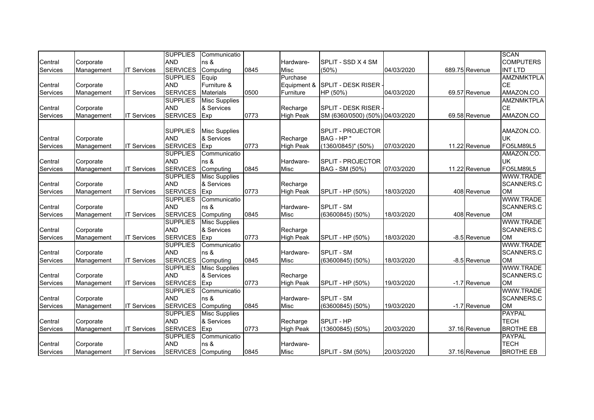|                 |            |                    | <b>SUPPLIES</b> | Communicatio         |      |                  |                                 |            |                | <b>SCAN</b>       |
|-----------------|------------|--------------------|-----------------|----------------------|------|------------------|---------------------------------|------------|----------------|-------------------|
| Central         | Corporate  |                    | <b>AND</b>      | $\ln s$ &            |      | Hardware-        | SPLIT - SSD X 4 SM              |            |                | <b>COMPUTERS</b>  |
| <b>Services</b> | Management | <b>IT Services</b> | <b>SERVICES</b> | Computing            | 0845 | <b>Misc</b>      | $(50\%)$                        | 04/03/2020 | 689.75 Revenue | <b>INT LTD</b>    |
|                 |            |                    | <b>SUPPLIES</b> | Equip                |      | Purchase         |                                 |            |                | <b>AMZNMKTPLA</b> |
| Central         | Corporate  |                    | <b>AND</b>      | Furniture &          |      | Equipment &      | <b>SPLIT - DESK RISER</b>       |            |                | <b>CE</b>         |
| <b>Services</b> | Management | <b>IT Services</b> | <b>SERVICES</b> | <b>Materials</b>     | 0500 | Furniture        | HP (50%)                        | 04/03/2020 | 69.57 Revenue  | AMAZON.CO         |
|                 |            |                    | <b>SUPPLIES</b> | <b>Misc Supplies</b> |      |                  |                                 |            |                | <b>AMZNMKTPLA</b> |
| Central         | Corporate  |                    | <b>AND</b>      | & Services           |      | Recharge         | SPLIT - DESK RISER              |            |                | <b>CE</b>         |
| Services        | Management | <b>IT Services</b> | <b>SERVICES</b> | Exp                  | 0773 | <b>High Peak</b> | SM (6360/0500) (50%) 04/03/2020 |            | 69.58 Revenue  | AMAZON.CO         |
|                 |            |                    |                 |                      |      |                  |                                 |            |                |                   |
|                 |            |                    | <b>SUPPLIES</b> | <b>Misc Supplies</b> |      |                  | <b>SPLIT - PROJECTOR</b>        |            |                | AMAZON.CO.        |
| Central         | Corporate  |                    | <b>AND</b>      | & Services           |      | Recharge         | BAG - HP "                      |            |                | <b>UK</b>         |
| <b>Services</b> | Management | <b>IT Services</b> | <b>SERVICES</b> | Exp                  | 0773 | <b>High Peak</b> | $(1360/0845)$ " (50%)           | 07/03/2020 | 11.22 Revenue  | FO5LM89L5         |
|                 |            |                    | <b>SUPPLIES</b> | Communicatio         |      |                  |                                 |            |                | AMAZON.CO.        |
| Central         | Corporate  |                    | <b>AND</b>      | ns &                 |      | Hardware-        | <b>SPLIT - PROJECTOR</b>        |            |                | <b>UK</b>         |
| Services        | Management | <b>IT Services</b> | <b>SERVICES</b> | Computing            | 0845 | Misc             | BAG - SM (50%)                  | 07/03/2020 | 11.22 Revenue  | FO5LM89L5         |
|                 |            |                    | <b>SUPPLIES</b> | <b>Misc Supplies</b> |      |                  |                                 |            |                | WWW.TRADE         |
| Central         | Corporate  |                    | <b>AND</b>      | & Services           |      | Recharge         |                                 |            |                | SCANNERS.C        |
| Services        | Management | <b>IT Services</b> | <b>SERVICES</b> | Exp                  | 0773 | <b>High Peak</b> | SPLIT - HP (50%)                | 18/03/2020 | 408 Revenue    | <b>OM</b>         |
|                 |            |                    | <b>SUPPLIES</b> | Communicatio         |      |                  |                                 |            |                | WWW.TRADE         |
| Central         | Corporate  |                    | <b>AND</b>      | ns &                 |      | Hardware-        | SPLIT - SM                      |            |                | SCANNERS.C        |
| Services        | Management | <b>IT Services</b> | <b>SERVICES</b> | Computing            | 0845 | Misc             | $(63600845)$ $(50\%)$           | 18/03/2020 | 408 Revenue    | <b>OM</b>         |
|                 |            |                    | <b>SUPPLIES</b> | <b>Misc Supplies</b> |      |                  |                                 |            |                | <b>WWW.TRADE</b>  |
| Central         | Corporate  |                    | <b>AND</b>      | & Services           |      | Recharge         |                                 |            |                | <b>SCANNERS.C</b> |
| <b>Services</b> | Management | <b>IT Services</b> | <b>SERVICES</b> | Exp                  | 0773 | <b>High Peak</b> | SPLIT - HP (50%)                | 18/03/2020 | -8.5 Revenue   | <b>OM</b>         |
|                 |            |                    | <b>SUPPLIES</b> | Communicatio         |      |                  |                                 |            |                | WWW.TRADE         |
| Central         | Corporate  |                    | <b>AND</b>      | ns &                 |      | Hardware-        | SPLIT - SM                      |            |                | SCANNERS.C        |
| Services        | Management | <b>IT Services</b> | <b>SERVICES</b> | Computing            | 0845 | Misc             | $(63600845)$ $(50\%)$           | 18/03/2020 | -8.5 Revenue   | <b>OM</b>         |
|                 |            |                    | <b>SUPPLIES</b> | <b>Misc Supplies</b> |      |                  |                                 |            |                | <b>WWW.TRADE</b>  |
| Central         | Corporate  |                    | <b>AND</b>      | & Services           |      | Recharge         |                                 |            |                | SCANNERS.C        |
| Services        | Management | <b>IT Services</b> | <b>SERVICES</b> | Exp                  | 0773 | <b>High Peak</b> | SPLIT - HP (50%)                | 19/03/2020 | -1.7 Revenue   | <b>OM</b>         |
|                 |            |                    | <b>SUPPLIES</b> | Communicatio         |      |                  |                                 |            |                | <b>WWW.TRADE</b>  |
| Central         | Corporate  |                    | <b>AND</b>      | ns &                 |      | Hardware-        | SPLIT - SM                      |            |                | SCANNERS.C        |
| Services        | Management | <b>IT Services</b> | <b>SERVICES</b> | Computing            | 0845 | <b>Misc</b>      | $(63600845)$ $(50\%)$           | 19/03/2020 | -1.7 Revenue   | <b>OM</b>         |
|                 |            |                    | <b>SUPPLIES</b> | <b>Misc Supplies</b> |      |                  |                                 |            |                | <b>PAYPAL</b>     |
| Central         | Corporate  |                    | <b>AND</b>      | & Services           |      | Recharge         | SPLIT - HP                      |            |                | <b>TECH</b>       |
| <b>Services</b> | Management | <b>IT Services</b> | <b>SERVICES</b> | Exp                  | 0773 | <b>High Peak</b> | $(13600845)$ (50%)              | 20/03/2020 | 37.16 Revenue  | <b>BROTHE EB</b>  |
|                 |            |                    | <b>SUPPLIES</b> | Communicatio         |      |                  |                                 |            |                | <b>PAYPAL</b>     |
| Central         | Corporate  |                    | <b>AND</b>      | $\ln s$ &            |      | Hardware-        |                                 |            |                | <b>TECH</b>       |
| Services        | Management | <b>IT Services</b> | <b>SERVICES</b> | Computing            | 0845 | <b>Misc</b>      | <b>SPLIT - SM (50%)</b>         | 20/03/2020 | 37.16 Revenue  | <b>BROTHE EB</b>  |